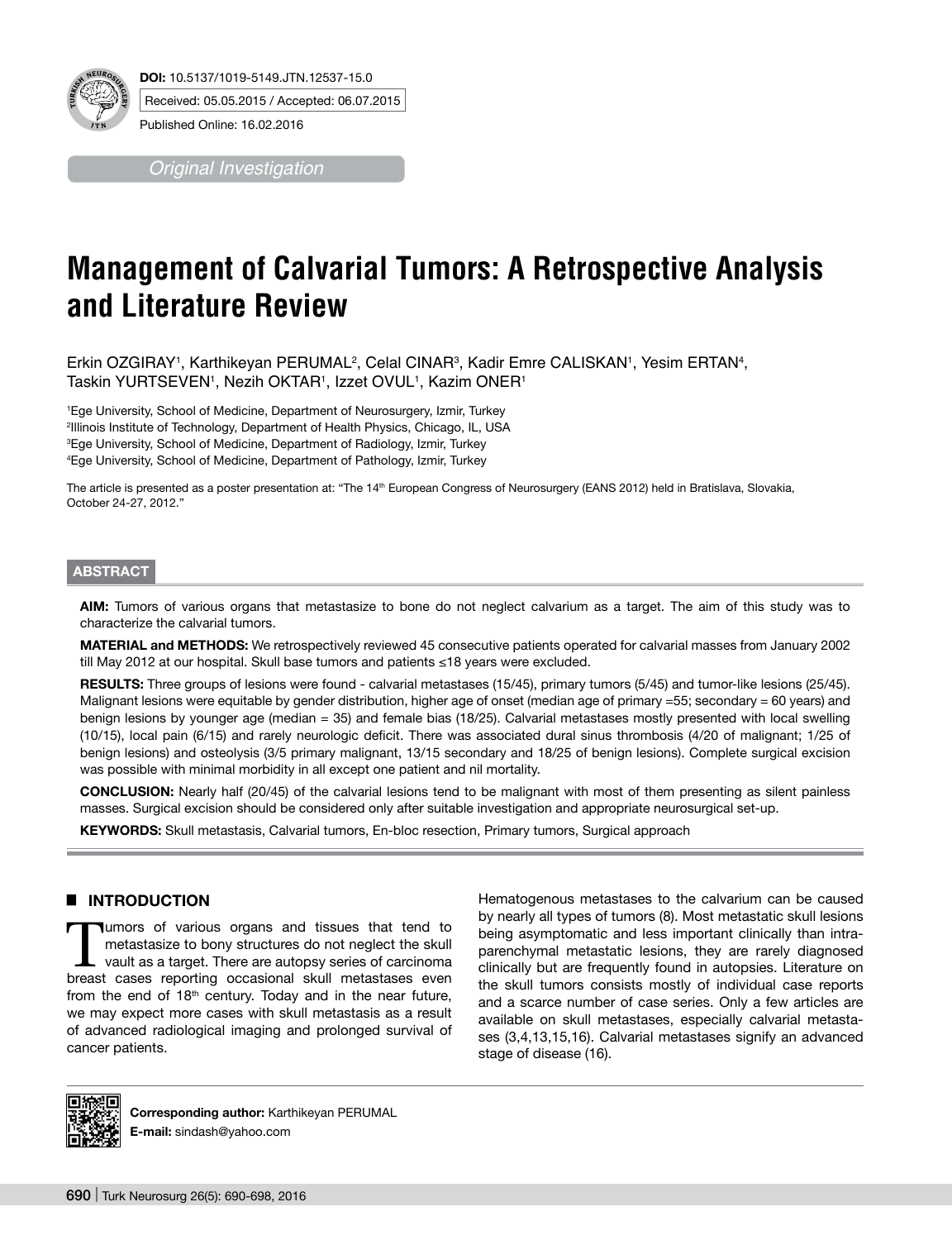

*Original Investigation*

# **Management of Calvarial Tumors: A Retrospective Analysis and Literature Review**

Erkin OZGIRAY1, Karthikeyan PERUMAL<sup>2</sup>, Celal CINAR<sup>3</sup>, Kadir Emre CALISKAN1, Yesim ERTAN4, Taskin YURTSEVEN1, Nezih OKTAR1, Izzet OVUL1, Kazim ONER1

 Ege University, School of Medicine, Department of Neurosurgery, Izmir, Turkey Illinois Institute of Technology, Department of Health Physics, Chicago, IL, USA Ege University, School of Medicine, Department of Radiology, Izmir, Turkey Ege University, School of Medicine, Department of Pathology, Izmir, Turkey

The article is presented as a poster presentation at: "The 14<sup>th</sup> European Congress of Neurosurgery (EANS 2012) held in Bratislava, Slovakia, October 24-27, 2012."

#### **ABSTRACT**

**AIm:** Tumors of various organs that metastasize to bone do not neglect calvarium as a target. The aim of this study was to characterize the calvarial tumors.

**MaterIal and Methods:** We retrospectively reviewed 45 consecutive patients operated for calvarial masses from January 2002 till May 2012 at our hospital. Skull base tumors and patients ≤18 years were excluded.

**Results:** Three groups of lesions were found - calvarial metastases (15/45), primary tumors (5/45) and tumor-like lesions (25/45). Malignant lesions were equitable by gender distribution, higher age of onset (median age of primary =55; secondary = 60 years) and benign lesions by younger age (median = 35) and female bias (18/25). Calvarial metastases mostly presented with local swelling (10/15), local pain (6/15) and rarely neurologic deficit. There was associated dural sinus thrombosis (4/20 of malignant; 1/25 of benign lesions) and osteolysis (3/5 primary malignant, 13/15 secondary and 18/25 of benign lesions). Complete surgical excision was possible with minimal morbidity in all except one patient and nil mortality.

**ConclusIon:** Nearly half (20/45) of the calvarial lesions tend to be malignant with most of them presenting as silent painless masses. Surgical excision should be considered only after suitable investigation and appropriate neurosurgical set-up.

**Keywords:** Skull metastasis, Calvarial tumors, En-bloc resection, Primary tumors, Surgical approach

#### █ **INTRODUCTION**

Tumors of various organs and tissues that tend to metastasize to bony structures do not neglect the skull vault as a target. There are autopsy series of carcinoma breast cases reporting occasional skull metastases even from the end of  $18<sup>th</sup>$  century. Today and in the near future, we may expect more cases with skull metastasis as a result of advanced radiological imaging and prolonged survival of cancer patients.

Hematogenous metastases to the calvarium can be caused by nearly all types of tumors (8). Most metastatic skull lesions being asymptomatic and less important clinically than intraparenchymal metastatic lesions, they are rarely diagnosed clinically but are frequently found in autopsies. Literature on the skull tumors consists mostly of individual case reports and a scarce number of case series. Only a few articles are available on skull metastases, especially calvarial metastases (3,4,13,15,16). Calvarial metastases signify an advanced stage of disease (16).



**Corresponding author:** Karthikeyan PERUMAL **E-mail:** sindash@yahoo.com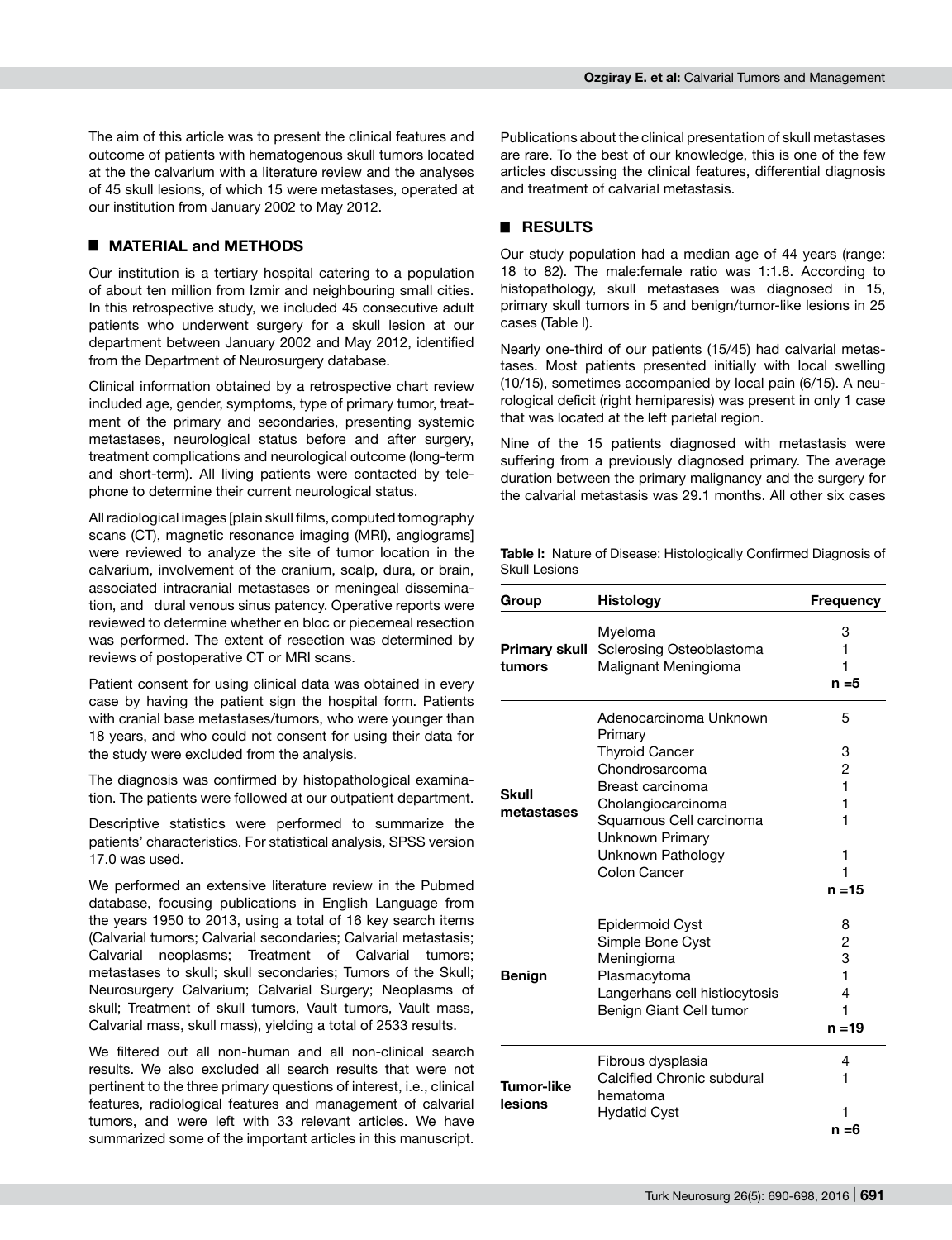The aim of this article was to present the clinical features and outcome of patients with hematogenous skull tumors located at the the calvarium with a literature review and the analyses of 45 skull lesions, of which 15 were metastases, operated at our institution from January 2002 to May 2012.

## █ **MATERIAL and METHODS**

Our institution is a tertiary hospital catering to a population of about ten million from Izmir and neighbouring small cities. In this retrospective study, we included 45 consecutive adult patients who underwent surgery for a skull lesion at our department between January 2002 and May 2012, identified from the Department of Neurosurgery database.

Clinical information obtained by a retrospective chart review included age, gender, symptoms, type of primary tumor, treatment of the primary and secondaries, presenting systemic metastases, neurological status before and after surgery, treatment complications and neurological outcome (long-term and short-term). All living patients were contacted by telephone to determine their current neurological status.

All radiological images [plain skull films, computed tomography scans (CT), magnetic resonance imaging (MRI), angiograms] were reviewed to analyze the site of tumor location in the calvarium, involvement of the cranium, scalp, dura, or brain, associated intracranial metastases or meningeal dissemination, and dural venous sinus patency. Operative reports were reviewed to determine whether en bloc or piecemeal resection was performed. The extent of resection was determined by reviews of postoperative CT or MRI scans.

Patient consent for using clinical data was obtained in every case by having the patient sign the hospital form. Patients with cranial base metastases/tumors, who were younger than 18 years, and who could not consent for using their data for the study were excluded from the analysis.

The diagnosis was confirmed by histopathological examination. The patients were followed at our outpatient department.

Descriptive statistics were performed to summarize the patients' characteristics. For statistical analysis, SPSS version 17.0 was used.

We performed an extensive literature review in the Pubmed database, focusing publications in English Language from the years 1950 to 2013, using a total of 16 key search items (Calvarial tumors; Calvarial secondaries; Calvarial metastasis; Calvarial neoplasms; Treatment of Calvarial tumors; metastases to skull; skull secondaries; Tumors of the Skull; Neurosurgery Calvarium; Calvarial Surgery; Neoplasms of skull; Treatment of skull tumors, Vault tumors, Vault mass, Calvarial mass, skull mass), yielding a total of 2533 results.

We filtered out all non-human and all non-clinical search results. We also excluded all search results that were not pertinent to the three primary questions of interest, i.e., clinical features, radiological features and management of calvarial tumors, and were left with 33 relevant articles. We have summarized some of the important articles in this manuscript.

Publications about the clinical presentation of skull metastases are rare. To the best of our knowledge, this is one of the few articles discussing the clinical features, differential diagnosis and treatment of calvarial metastasis.

#### █ **RESULTS**

Our study population had a median age of 44 years (range: 18 to 82). The male:female ratio was 1:1.8. According to histopathology, skull metastases was diagnosed in 15, primary skull tumors in 5 and benign/tumor-like lesions in 25 cases (Table I).

Nearly one-third of our patients (15/45) had calvarial metastases. Most patients presented initially with local swelling (10/15), sometimes accompanied by local pain (6/15). A neurological deficit (right hemiparesis) was present in only 1 case that was located at the left parietal region.

Nine of the 15 patients diagnosed with metastasis were suffering from a previously diagnosed primary. The average duration between the primary malignancy and the surgery for the calvarial metastasis was 29.1 months. All other six cases

**Table I:** Nature of Disease: Histologically Confirmed Diagnosis of Skull Lesions

| Group                          | <b>Histology</b>                                                                                                                                                                                          | <b>Frequency</b>                                 |
|--------------------------------|-----------------------------------------------------------------------------------------------------------------------------------------------------------------------------------------------------------|--------------------------------------------------|
| <b>Primary skull</b><br>tumors | Myeloma<br>Sclerosing Osteoblastoma<br>Malignant Meningioma                                                                                                                                               | 3<br>1<br>1<br>$n = 5$                           |
| <b>Skull</b><br>metastases     | Adenocarcinoma Unknown<br>Primary<br><b>Thyroid Cancer</b><br>Chondrosarcoma<br>Breast carcinoma<br>Cholangiocarcinoma<br>Squamous Cell carcinoma<br>Unknown Primary<br>Unknown Pathology<br>Colon Cancer | 5<br>3<br>2<br>1<br>1<br>1<br>1<br>1<br>$n = 15$ |
| <b>Benign</b>                  | <b>Epidermoid Cyst</b><br>Simple Bone Cyst<br>Meningioma<br>Plasmacytoma<br>Langerhans cell histiocytosis<br>Benign Giant Cell tumor                                                                      | 8<br>2<br>3<br>1<br>4<br>1<br>$n = 19$           |
| Tumor-like<br>lesions          | Fibrous dysplasia<br>Calcified Chronic subdural<br>hematoma<br><b>Hydatid Cyst</b>                                                                                                                        | 4<br>1<br>1<br>n =6                              |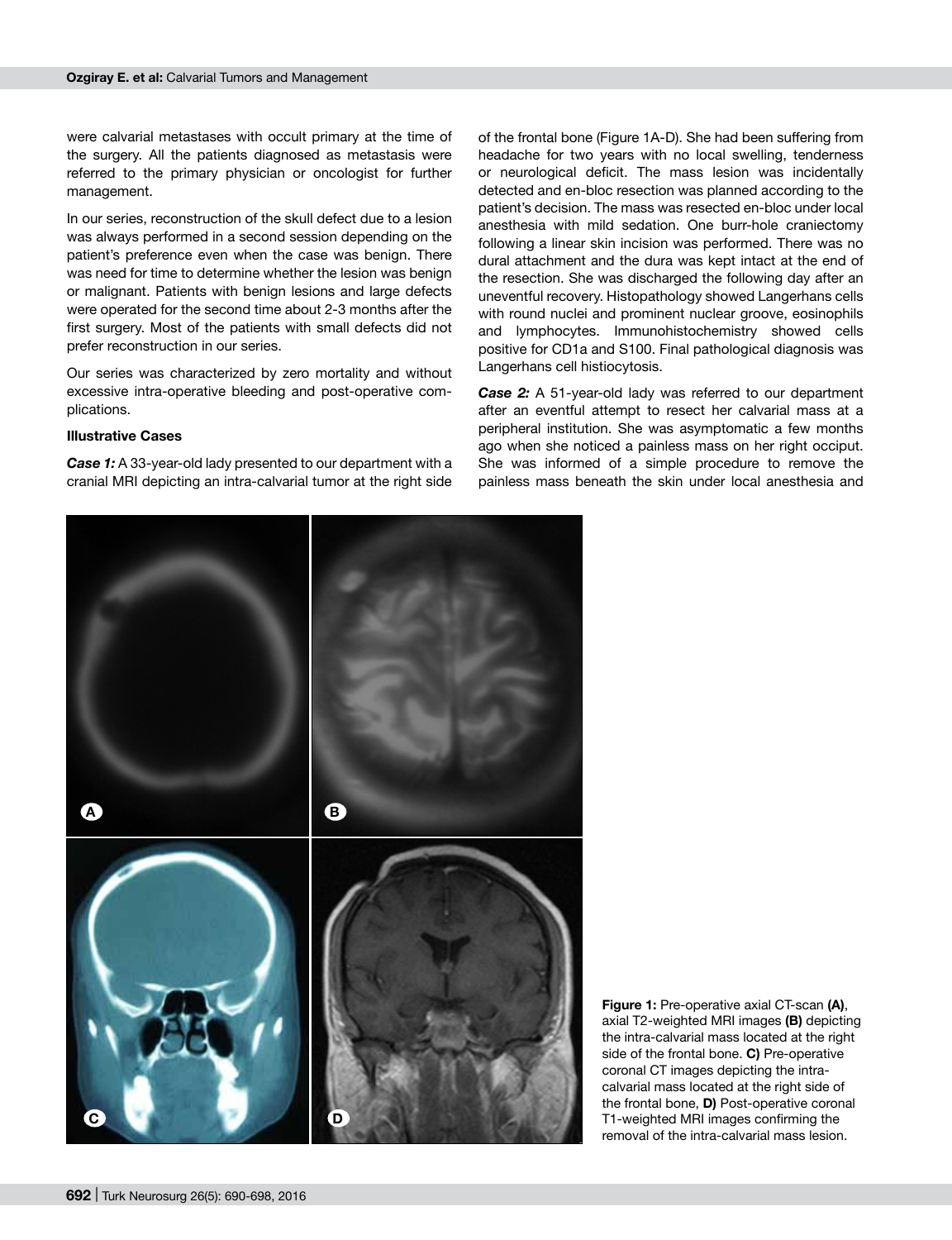were calvarial metastases with occult primary at the time of the surgery. All the patients diagnosed as metastasis were referred to the primary physician or oncologist for further management.

In our series, reconstruction of the skull defect due to a lesion was always performed in a second session depending on the patient's preference even when the case was benign. There was need for time to determine whether the lesion was benign or malignant. Patients with benign lesions and large defects were operated for the second time about 2-3 months after the first surgery. Most of the patients with small defects did not prefer reconstruction in our series.

Our series was characterized by zero mortality and without excessive intra-operative bleeding and post-operative complications.

#### **Illustrative Cases**

*Case 1:* A 33-year-old lady presented to our department with a cranial MRI depicting an intra-calvarial tumor at the right side of the frontal bone (Figure 1A-D). She had been suffering from headache for two years with no local swelling, tenderness or neurological deficit. The mass lesion was incidentally detected and en-bloc resection was planned according to the patient's decision. The mass was resected en-bloc under local anesthesia with mild sedation. One burr-hole craniectomy following a linear skin incision was performed. There was no dural attachment and the dura was kept intact at the end of the resection. She was discharged the following day after an uneventful recovery. Histopathology showed Langerhans cells with round nuclei and prominent nuclear groove, eosinophils and lymphocytes. Immunohistochemistry showed cells positive for CD1a and S100. Final pathological diagnosis was Langerhans cell histiocytosis.

*Case 2:* A 51-year-old lady was referred to our department after an eventful attempt to resect her calvarial mass at a peripheral institution. She was asymptomatic a few months ago when she noticed a painless mass on her right occiput. She was informed of a simple procedure to remove the painless mass beneath the skin under local anesthesia and



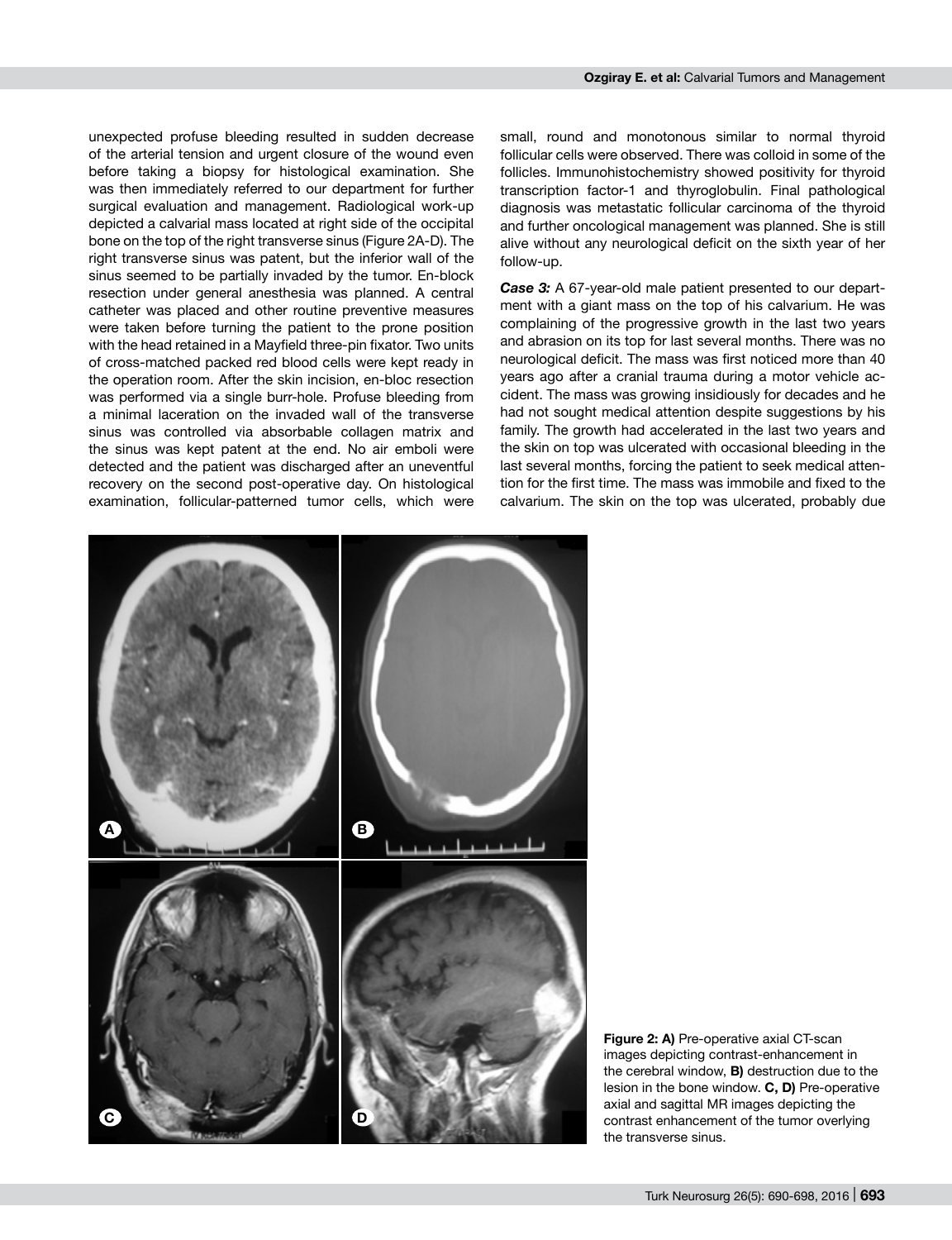unexpected profuse bleeding resulted in sudden decrease of the arterial tension and urgent closure of the wound even before taking a biopsy for histological examination. She was then immediately referred to our department for further surgical evaluation and management. Radiological work-up depicted a calvarial mass located at right side of the occipital bone on the top of the right transverse sinus (Figure 2A-D). The right transverse sinus was patent, but the inferior wall of the sinus seemed to be partially invaded by the tumor. En-block resection under general anesthesia was planned. A central catheter was placed and other routine preventive measures were taken before turning the patient to the prone position with the head retained in a Mayfield three-pin fixator. Two units of cross-matched packed red blood cells were kept ready in the operation room. After the skin incision, en-bloc resection was performed via a single burr-hole. Profuse bleeding from a minimal laceration on the invaded wall of the transverse sinus was controlled via absorbable collagen matrix and the sinus was kept patent at the end. No air emboli were detected and the patient was discharged after an uneventful recovery on the second post-operative day. On histological examination, follicular-patterned tumor cells, which were small, round and monotonous similar to normal thyroid follicular cells were observed. There was colloid in some of the follicles. Immunohistochemistry showed positivity for thyroid transcription factor-1 and thyroglobulin. Final pathological diagnosis was metastatic follicular carcinoma of the thyroid and further oncological management was planned. She is still alive without any neurological deficit on the sixth year of her follow-up.

*Case 3:* A 67-year-old male patient presented to our department with a giant mass on the top of his calvarium. He was complaining of the progressive growth in the last two years and abrasion on its top for last several months. There was no neurological deficit. The mass was first noticed more than 40 years ago after a cranial trauma during a motor vehicle accident. The mass was growing insidiously for decades and he had not sought medical attention despite suggestions by his family. The growth had accelerated in the last two years and the skin on top was ulcerated with occasional bleeding in the last several months, forcing the patient to seek medical attention for the first time. The mass was immobile and fixed to the calvarium. The skin on the top was ulcerated, probably due



**Figure 2: a)** Pre-operative axial CT-scan images depicting contrast-enhancement in the cerebral window, **b)** destruction due to the lesion in the bone window. **C, D)** Pre-operative axial and sagittal MR images depicting the contrast enhancement of the tumor overlying the transverse sinus.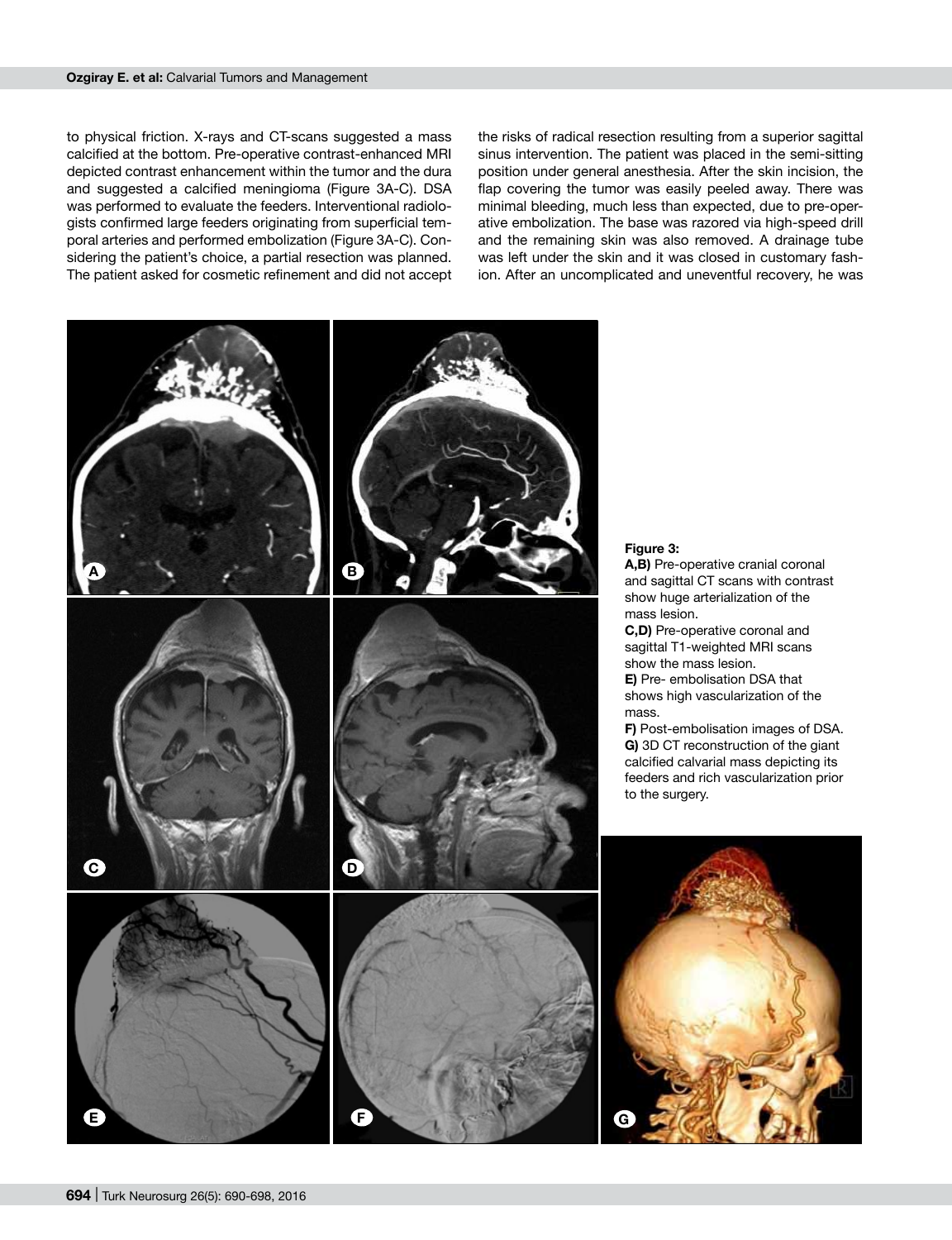to physical friction. X-rays and CT-scans suggested a mass calcified at the bottom. Pre-operative contrast-enhanced MRI depicted contrast enhancement within the tumor and the dura and suggested a calcified meningioma (Figure 3A-C). DSA was performed to evaluate the feeders. Interventional radiologists confirmed large feeders originating from superficial temporal arteries and performed embolization (Figure 3A-C). Considering the patient's choice, a partial resection was planned. The patient asked for cosmetic refinement and did not accept

the risks of radical resection resulting from a superior sagittal sinus intervention. The patient was placed in the semi-sitting position under general anesthesia. After the skin incision, the flap covering the tumor was easily peeled away. There was minimal bleeding, much less than expected, due to pre-operative embolization. The base was razored via high-speed drill and the remaining skin was also removed. A drainage tube was left under the skin and it was closed in customary fashion. After an uncomplicated and uneventful recovery, he was

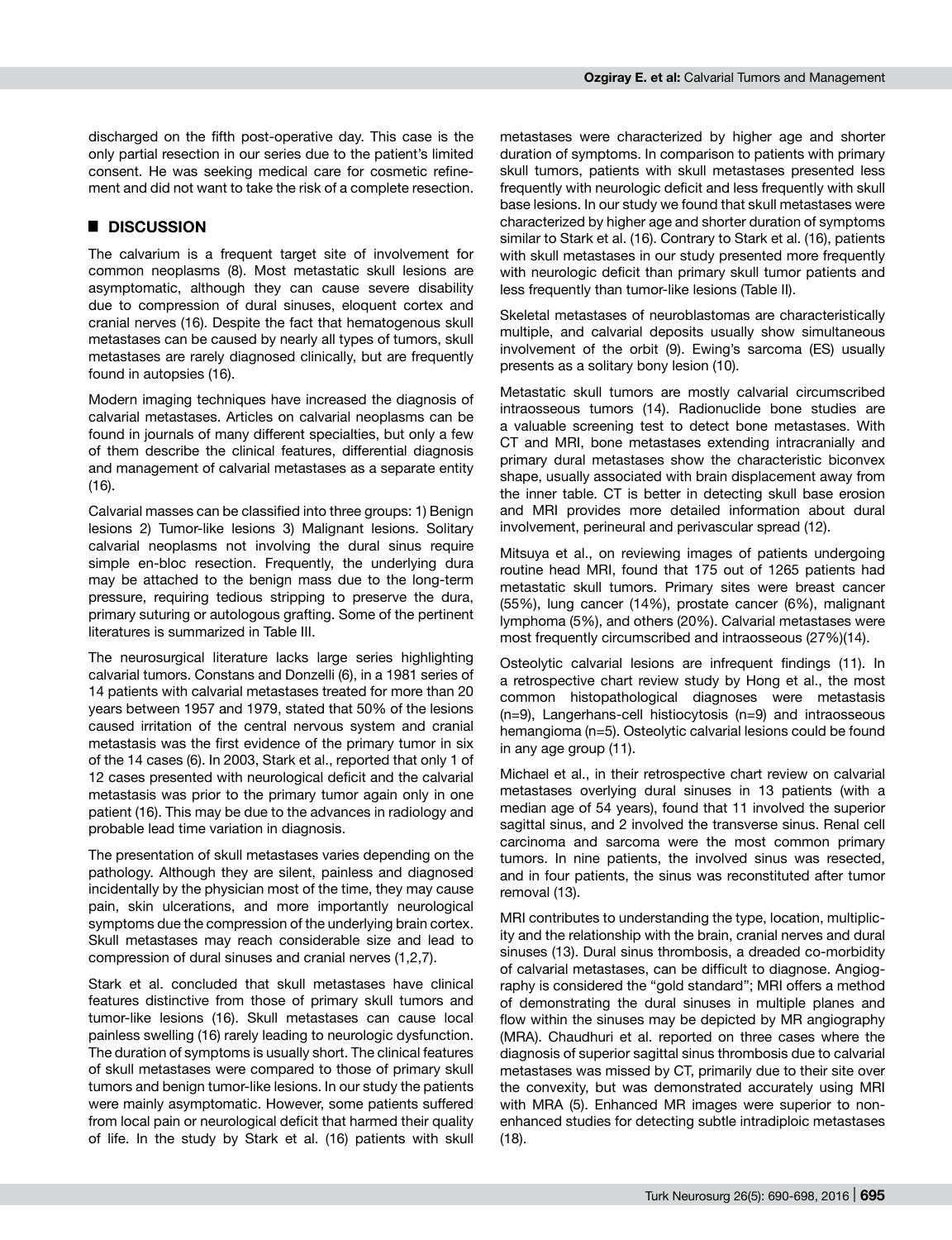discharged on the fifth post-operative day. This case is the only partial resection in our series due to the patient's limited consent. He was seeking medical care for cosmetic refinement and did not want to take the risk of a complete resection.

#### █ **DISCUSSION**

The calvarium is a frequent target site of involvement for common neoplasms (8). Most metastatic skull lesions are asymptomatic, although they can cause severe disability due to compression of dural sinuses, eloquent cortex and cranial nerves (16). Despite the fact that hematogenous skull metastases can be caused by nearly all types of tumors, skull metastases are rarely diagnosed clinically, but are frequently found in autopsies (16).

Modern imaging techniques have increased the diagnosis of calvarial metastases. Articles on calvarial neoplasms can be found in journals of many different specialties, but only a few of them describe the clinical features, differential diagnosis and management of calvarial metastases as a separate entity (16).

Calvarial masses can be classified into three groups: 1) Benign lesions 2) Tumor-like lesions 3) Malignant lesions. Solitary calvarial neoplasms not involving the dural sinus require simple en-bloc resection. Frequently, the underlying dura may be attached to the benign mass due to the long-term pressure, requiring tedious stripping to preserve the dura, primary suturing or autologous grafting. Some of the pertinent literatures is summarized in Table III.

The neurosurgical literature lacks large series highlighting calvarial tumors. Constans and Donzelli (6), in a 1981 series of 14 patients with calvarial metastases treated for more than 20 years between 1957 and 1979, stated that 50% of the lesions caused irritation of the central nervous system and cranial metastasis was the first evidence of the primary tumor in six of the 14 cases (6). In 2003, Stark et al., reported that only 1 of 12 cases presented with neurological deficit and the calvarial metastasis was prior to the primary tumor again only in one patient (16). This may be due to the advances in radiology and probable lead time variation in diagnosis.

The presentation of skull metastases varies depending on the pathology. Although they are silent, painless and diagnosed incidentally by the physician most of the time, they may cause pain, skin ulcerations, and more importantly neurological symptoms due the compression of the underlying brain cortex. Skull metastases may reach considerable size and lead to compression of dural sinuses and cranial nerves (1,2,7).

Stark et al. concluded that skull metastases have clinical features distinctive from those of primary skull tumors and tumor-like lesions (16). Skull metastases can cause local painless swelling (16) rarely leading to neurologic dysfunction. The duration of symptoms is usually short. The clinical features of skull metastases were compared to those of primary skull tumors and benign tumor-like lesions. In our study the patients were mainly asymptomatic. However, some patients suffered from local pain or neurological deficit that harmed their quality of life. In the study by Stark et al. (16) patients with skull metastases were characterized by higher age and shorter duration of symptoms. In comparison to patients with primary skull tumors, patients with skull metastases presented less frequently with neurologic deficit and less frequently with skull base lesions. In our study we found that skull metastases were characterized by higher age and shorter duration of symptoms similar to Stark et al. (16). Contrary to Stark et al. (16), patients with skull metastases in our study presented more frequently with neurologic deficit than primary skull tumor patients and less frequently than tumor-like lesions (Table II).

Skeletal metastases of neuroblastomas are characteristically multiple, and calvarial deposits usually show simultaneous involvement of the orbit (9). Ewing's sarcoma (ES) usually presents as a solitary bony lesion (10).

Metastatic skull tumors are mostly calvarial circumscribed intraosseous tumors (14). Radionuclide bone studies are a valuable screening test to detect bone metastases. With CT and MRI, bone metastases extending intracranially and primary dural metastases show the characteristic biconvex shape, usually associated with brain displacement away from the inner table. CT is better in detecting skull base erosion and MRI provides more detailed information about dural involvement, perineural and perivascular spread (12).

Mitsuya et al., on reviewing images of patients undergoing routine head MRI, found that 175 out of 1265 patients had metastatic skull tumors. Primary sites were breast cancer (55%), lung cancer (14%), prostate cancer (6%), malignant lymphoma (5%), and others (20%). Calvarial metastases were most frequently circumscribed and intraosseous (27%)(14).

Osteolytic calvarial lesions are infrequent findings (11). In a retrospective chart review study by Hong et al., the most common histopathological diagnoses were metastasis (n=9), Langerhans-cell histiocytosis (n=9) and intraosseous hemangioma (n=5). Osteolytic calvarial lesions could be found in any age group (11).

Michael et al., in their retrospective chart review on calvarial metastases overlying dural sinuses in 13 patients (with a median age of 54 years), found that 11 involved the superior sagittal sinus, and 2 involved the transverse sinus. Renal cell carcinoma and sarcoma were the most common primary tumors. In nine patients, the involved sinus was resected, and in four patients, the sinus was reconstituted after tumor removal (13).

MRI contributes to understanding the type, location, multiplicity and the relationship with the brain, cranial nerves and dural sinuses (13). Dural sinus thrombosis, a dreaded co-morbidity of calvarial metastases, can be difficult to diagnose. Angiography is considered the "gold standard"; MRI offers a method of demonstrating the dural sinuses in multiple planes and flow within the sinuses may be depicted by MR angiography (MRA). Chaudhuri et al. reported on three cases where the diagnosis of superior sagittal sinus thrombosis due to calvarial metastases was missed by CT, primarily due to their site over the convexity, but was demonstrated accurately using MRI with MRA (5). Enhanced MR images were superior to nonenhanced studies for detecting subtle intradiploic metastases (18).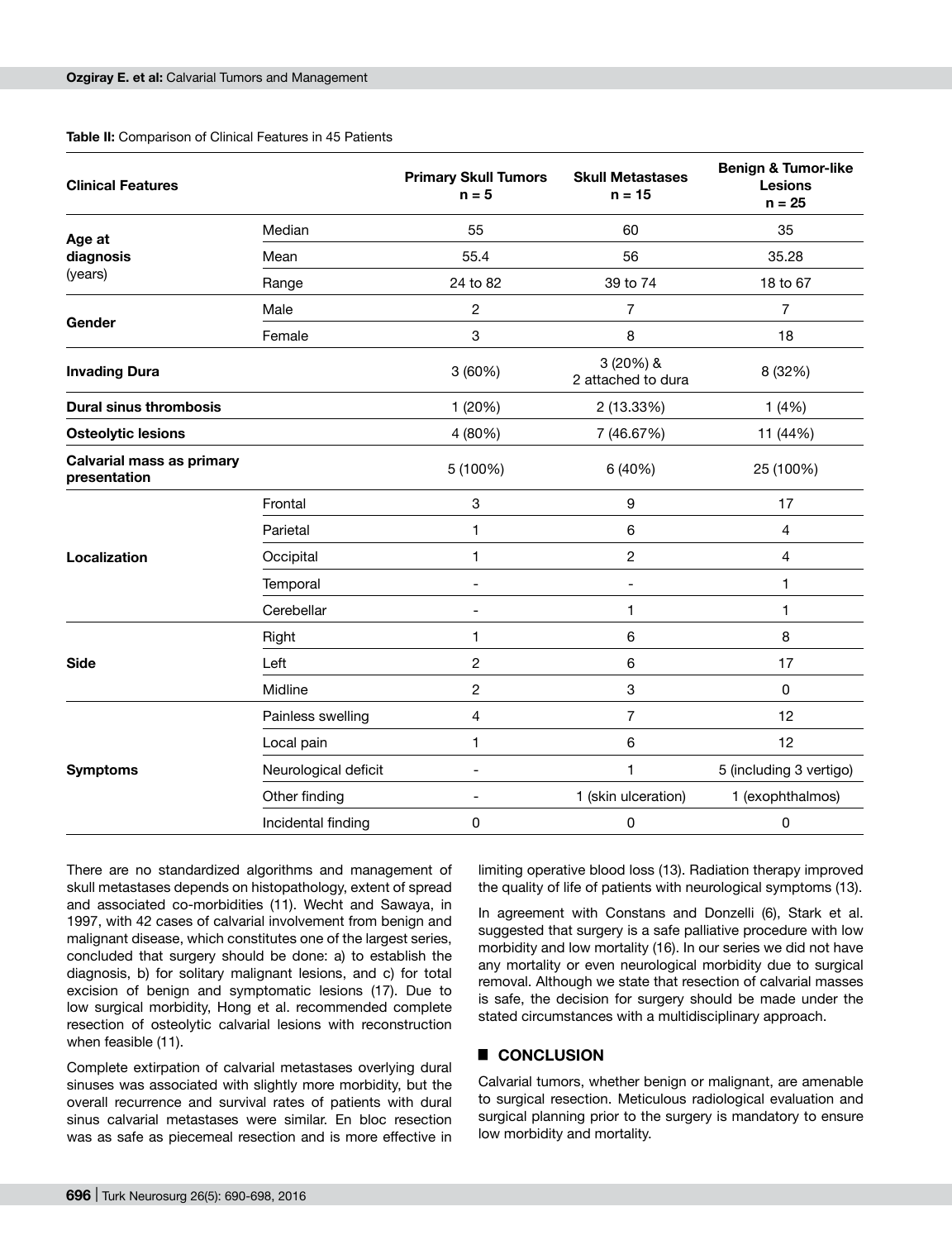#### **Table II:** Comparison of Clinical Features in 45 Patients

| <b>Clinical Features</b>                         |                      | <b>Primary Skull Tumors</b><br>$n = 5$ | <b>Skull Metastases</b><br>$n = 15$ | <b>Benign &amp; Tumor-like</b><br><b>Lesions</b><br>$n = 25$ |
|--------------------------------------------------|----------------------|----------------------------------------|-------------------------------------|--------------------------------------------------------------|
| Age at                                           | Median               | 55                                     | 60                                  | 35                                                           |
| diagnosis                                        | Mean                 | 55.4                                   | 56                                  | 35.28                                                        |
| (years)                                          | Range                | 24 to 82                               | 39 to 74                            | 18 to 67                                                     |
|                                                  | Male                 | $\overline{c}$                         | 7                                   | 7                                                            |
| Gender                                           | Female               | 3                                      | 8                                   | 18                                                           |
| <b>Invading Dura</b>                             |                      | 3(60%)                                 | 3 (20%) &<br>2 attached to dura     | 8 (32%)                                                      |
| <b>Dural sinus thrombosis</b>                    |                      | 1 (20%)                                | 2 (13.33%)                          | 1(4%)                                                        |
| <b>Osteolytic lesions</b>                        |                      | 4 (80%)                                | 7 (46.67%)                          | 11 (44%)                                                     |
| <b>Calvarial mass as primary</b><br>presentation |                      | 5 (100%)                               | 6 (40%)                             | 25 (100%)                                                    |
|                                                  | Frontal              | 3                                      | 9                                   | 17                                                           |
|                                                  | Parietal             | 1                                      | 6                                   | 4                                                            |
| Localization                                     | Occipital            | 1                                      | 2                                   | 4                                                            |
|                                                  | Temporal             | $\overline{\phantom{a}}$               | ۰                                   | 1                                                            |
|                                                  | Cerebellar           |                                        | 1                                   | 1                                                            |
|                                                  | Right                | 1                                      | 6                                   | 8                                                            |
| <b>Side</b>                                      | Left                 | 2                                      | 6                                   | 17                                                           |
|                                                  | Midline              | 2                                      | 3                                   | 0                                                            |
|                                                  | Painless swelling    | 4                                      | 7                                   | 12                                                           |
|                                                  | Local pain           | 1                                      | 6                                   | 12                                                           |
| <b>Symptoms</b>                                  | Neurological deficit | $\overline{\phantom{a}}$               | 1                                   | 5 (including 3 vertigo)                                      |
|                                                  | Other finding        | $\overline{\phantom{a}}$               | 1 (skin ulceration)                 | 1 (exophthalmos)                                             |
|                                                  | Incidental finding   | 0                                      | $\mathsf 0$                         | 0                                                            |

There are no standardized algorithms and management of skull metastases depends on histopathology, extent of spread and associated co-morbidities (11). Wecht and Sawaya, in 1997, with 42 cases of calvarial involvement from benign and malignant disease, which constitutes one of the largest series, concluded that surgery should be done: a) to establish the diagnosis, b) for solitary malignant lesions, and c) for total excision of benign and symptomatic lesions (17). Due to low surgical morbidity, Hong et al. recommended complete resection of osteolytic calvarial lesions with reconstruction when feasible (11).

Complete extirpation of calvarial metastases overlying dural sinuses was associated with slightly more morbidity, but the overall recurrence and survival rates of patients with dural sinus calvarial metastases were similar. En bloc resection was as safe as piecemeal resection and is more effective in

limiting operative blood loss (13). Radiation therapy improved the quality of life of patients with neurological symptoms (13).

In agreement with Constans and Donzelli (6), Stark et al. suggested that surgery is a safe palliative procedure with low morbidity and low mortality (16). In our series we did not have any mortality or even neurological morbidity due to surgical removal. Although we state that resection of calvarial masses is safe, the decision for surgery should be made under the stated circumstances with a multidisciplinary approach.

#### █ **CONCLUSION**

Calvarial tumors, whether benign or malignant, are amenable to surgical resection. Meticulous radiological evaluation and surgical planning prior to the surgery is mandatory to ensure low morbidity and mortality.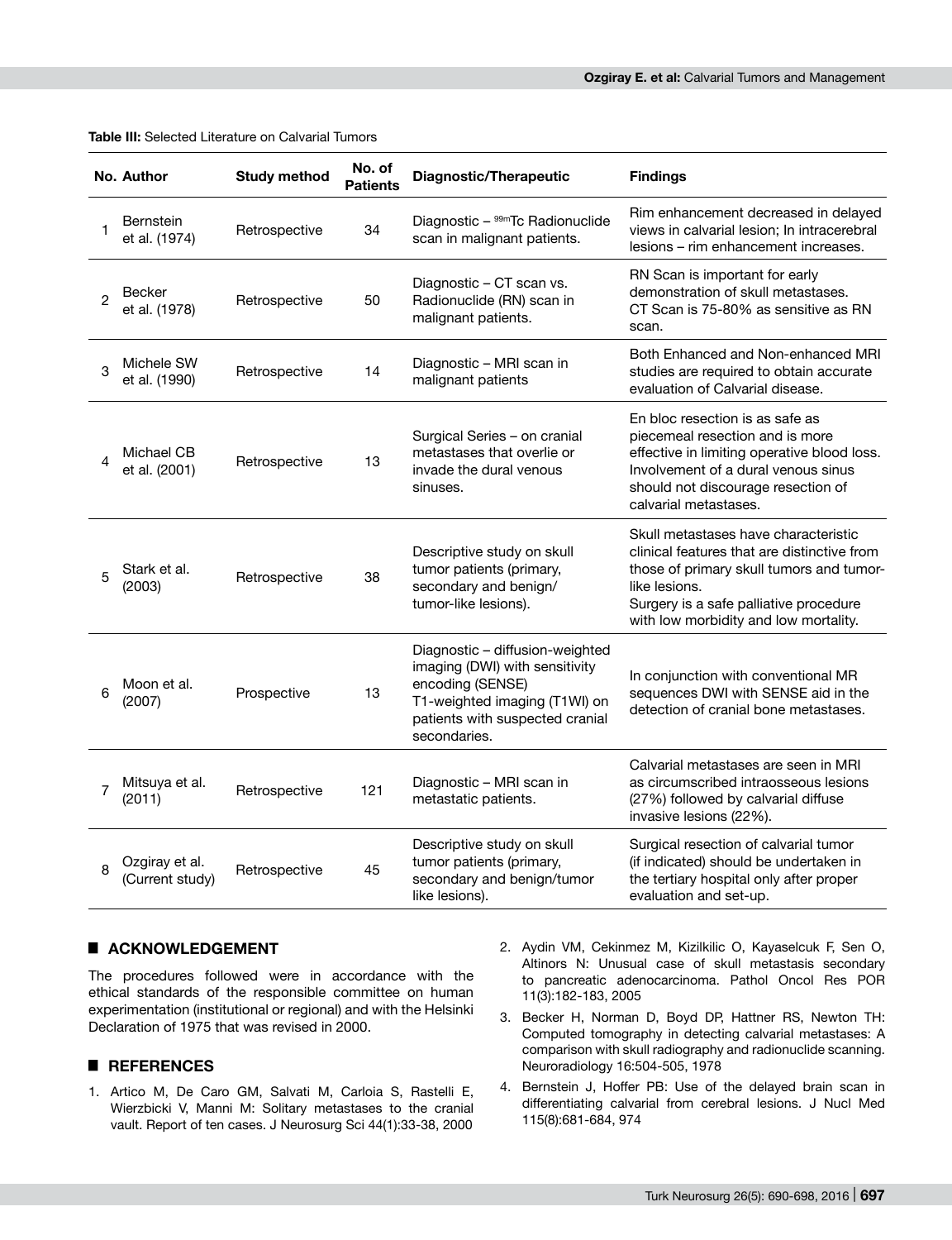|                | No. Author                        | <b>Study method</b> | No. of<br><b>Patients</b> | <b>Diagnostic/Therapeutic</b>                                                                                                                                             | <b>Findings</b>                                                                                                                                                                                                                     |
|----------------|-----------------------------------|---------------------|---------------------------|---------------------------------------------------------------------------------------------------------------------------------------------------------------------------|-------------------------------------------------------------------------------------------------------------------------------------------------------------------------------------------------------------------------------------|
| 1              | <b>Bernstein</b><br>et al. (1974) | Retrospective       | 34                        | Diagnostic - 99mTc Radionuclide<br>scan in malignant patients.                                                                                                            | Rim enhancement decreased in delayed<br>views in calvarial lesion; In intracerebral<br>lesions – rim enhancement increases.                                                                                                         |
| 2              | Becker<br>et al. (1978)           | Retrospective       | 50                        | Diagnostic - CT scan vs.<br>Radionuclide (RN) scan in<br>malignant patients.                                                                                              | RN Scan is important for early<br>demonstration of skull metastases.<br>CT Scan is 75-80% as sensitive as RN<br>scan.                                                                                                               |
| 3              | Michele SW<br>et al. (1990)       | Retrospective       | 14                        | Diagnostic - MRI scan in<br>malignant patients                                                                                                                            | Both Enhanced and Non-enhanced MRI<br>studies are required to obtain accurate<br>evaluation of Calvarial disease.                                                                                                                   |
| 4              | Michael CB<br>et al. (2001)       | Retrospective       | 13                        | Surgical Series - on cranial<br>metastases that overlie or<br>invade the dural venous<br>sinuses.                                                                         | En bloc resection is as safe as<br>piecemeal resection and is more<br>effective in limiting operative blood loss.<br>Involvement of a dural venous sinus<br>should not discourage resection of<br>calvarial metastases.             |
| 5              | Stark et al.<br>(2003)            | Retrospective       | 38                        | Descriptive study on skull<br>tumor patients (primary,<br>secondary and benign/<br>tumor-like lesions).                                                                   | Skull metastases have characteristic<br>clinical features that are distinctive from<br>those of primary skull tumors and tumor-<br>like lesions.<br>Surgery is a safe palliative procedure<br>with low morbidity and low mortality. |
| 6              | Moon et al.<br>(2007)             | Prospective         | 13                        | Diagnostic - diffusion-weighted<br>imaging (DWI) with sensitivity<br>encoding (SENSE)<br>T1-weighted imaging (T1WI) on<br>patients with suspected cranial<br>secondaries. | In conjunction with conventional MR<br>sequences DWI with SENSE aid in the<br>detection of cranial bone metastases.                                                                                                                 |
| $\overline{7}$ | Mitsuya et al.<br>(2011)          | Retrospective       | 121                       | Diagnostic - MRI scan in<br>metastatic patients.                                                                                                                          | Calvarial metastases are seen in MRI<br>as circumscribed intraosseous lesions<br>(27%) followed by calvarial diffuse<br>invasive lesions (22%).                                                                                     |
| 8              | Ozgiray et al.<br>(Current study) | Retrospective       | 45                        | Descriptive study on skull<br>tumor patients (primary,<br>secondary and benign/tumor<br>like lesions).                                                                    | Surgical resection of calvarial tumor<br>(if indicated) should be undertaken in<br>the tertiary hospital only after proper<br>evaluation and set-up.                                                                                |

**Table III:** Selected Literature on Calvarial Tumors

## █ **ACKNOWLEDGEMENT**

The procedures followed were in accordance with the ethical standards of the responsible committee on human experimentation (institutional or regional) and with the Helsinki Declaration of 1975 that was revised in 2000.

## █ **REFERENCES**

- 1. Artico M, De Caro GM, Salvati M, Carloia S, Rastelli E, Wierzbicki V, Manni M: Solitary metastases to the cranial vault. Report of ten cases. J Neurosurg Sci 44(1):33-38, 2000
- 2. Aydin VM, Cekinmez M, Kizilkilic O, Kayaselcuk F, Sen O, Altinors N: Unusual case of skull metastasis secondary to pancreatic adenocarcinoma. Pathol Oncol Res POR 11(3):182-183, 2005
- 3. Becker H, Norman D, Boyd DP, Hattner RS, Newton TH: Computed tomography in detecting calvarial metastases: A comparison with skull radiography and radionuclide scanning. Neuroradiology 16:504-505, 1978
- 4. Bernstein J, Hoffer PB: Use of the delayed brain scan in differentiating calvarial from cerebral lesions. J Nucl Med 115(8):681-684, 974